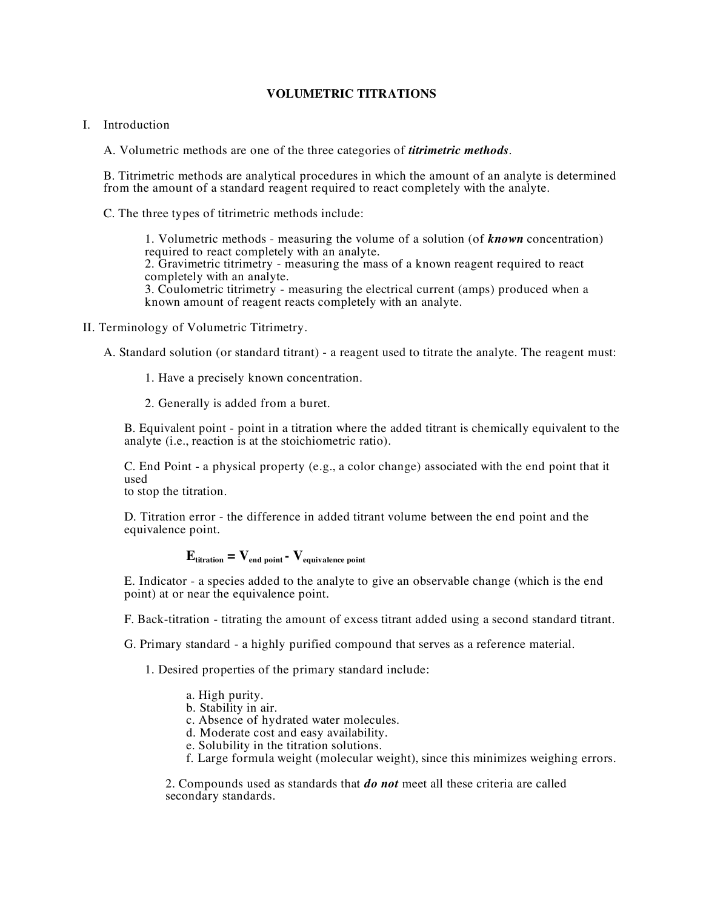## **VOLUMETRIC TITRATIONS**

- I. Introduction
	- A. Volumetric methods are one of the three categories of *titrimetric methods*.

B. Titrimetric methods are analytical procedures in which the amount of an analyte is determined from the amount of a standard reagent required to react completely with the analyte.

C. The three types of titrimetric methods include:

1. Volumetric methods - measuring the volume of a solution (of *known* concentration) 2. Gravimetric titrimetry - measuring the mass of a known reagent required to react completely with an analyte. 3. Coulometric titrimetry - measuring the electrical current (amps) produced when a known amount of reagent reacts completely with an analyte.

II. Terminology of Volumetric Titrimetry.

A. Standard solution (or standard titrant) - a reagent used to titrate the analyte. The reagent must:

- 1. Have a precisely known concentration.
- 2. Generally is added from a buret.

B. Equivalent point - point in a titration where the added titrant is chemically equivalent to the analyte (i.e., reaction is at the stoichiometric ratio).

C. End Point - a physical property (e.g., a color change) associated with the end point that it used

to stop the titration.

D. Titration error - the difference in added titrant volume between the end point and the equivalence point.

## $\mathbf{E}_{\text{titration}} = \mathbf{V}_{\text{end point}}$  **-**  $\mathbf{V}_{\text{equivalence point}}$

E. Indicator - a species added to the analyte to give an observable change (which is the end point) at or near the equivalence point.

F. Back-titration - titrating the amount of excess titrant added using a second standard titrant.

G. Primary standard - a highly purified compound that serves as a reference material.

1. Desired properties of the primary standard include:

- a. High purity.
- b. Stability in air.
- c. Absence of hydrated water molecules.
- d. Moderate cost and easy availability.
- e. Solubility in the titration solutions.
- f. Large formula weight (molecular weight), since this minimizes weighing errors.

2. Compounds used as standards that *do not* meet all these criteria are called secondary standards.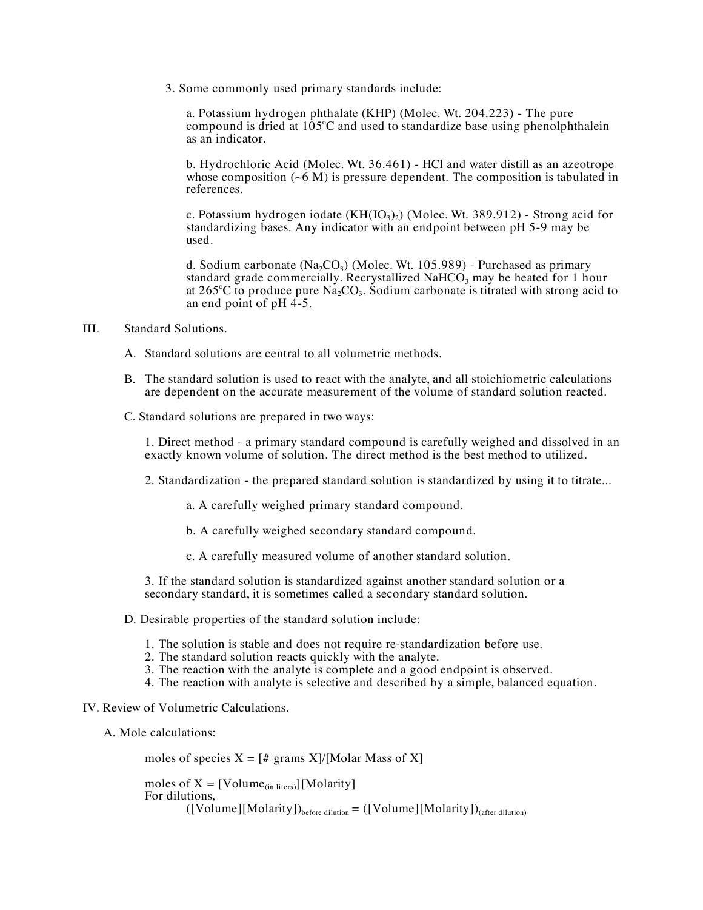3. Some commonly used primary standards include:

a. Potassium hydrogen phthalate (KHP) (Molec. Wt. 204.223) - The pure compound is dried at  $105^{\circ}$ C and used to standardize base using phenolphthalein as an indicator.

b. Hydrochloric Acid (Molec. Wt. 36.461) - HCl and water distill as an azeotrope whose composition  $({\sim}6 \text{ M})$  is pressure dependent. The composition is tabulated in references.

c. Potassium hydrogen iodate  $(KH(IO_3)_2)$  (Molec. Wt. 389.912) - Strong acid for standardizing bases. Any indicator with an endpoint between pH 5-9 may be used.

d. Sodium carbonate  $(Na_2CO_3)$  (Molec. Wt. 105.989) - Purchased as primary standard grade commercially. Recrystallized NaHCO<sub>3</sub> may be heated for 1 hour at 265°C to produce pure  $\text{Na}_2\text{CO}_3$ . Sodium carbonate is titrated with strong acid to an end point of  $pH$  4-5.

- III. Standard Solutions.
	- A. Standard solutions are central to all volumetric methods.
	- B. The standard solution is used to react with the analyte, and all stoichiometric calculations are dependent on the accurate measurement of the volume of standard solution reacted.
	- C. Standard solutions are prepared in two ways:

1. Direct method - a primary standard compound is carefully weighed and dissolved in an exactly known volume of solution. The direct method is the best method to utilized.

2. Standardization - the prepared standard solution is standardized by using it to titrate...

a. A carefully weighed primary standard compound.

b. A carefully weighed secondary standard compound.

c. A carefully measured volume of another standard solution.

3. If the standard solution is standardized against another standard solution or a secondary standard, it is sometimes called a secondary standard solution.

- D. Desirable properties of the standard solution include:
	- 1. The solution is stable and does not require re-standardization before use. 2. The standard solution reacts quickly with the analyte.
	-
	- 3. The reaction with the analyte is complete and a good endpoint is observed.
	- 4. The reaction with analyte is selective and described by a simple, balanced equation.
- IV. Review of Volumetric Calculations.
	- A. Mole calculations:

moles of species  $X = \frac{4}{7}$  grams  $X$ / $[Modar Mass of X]$ 

moles of  $X = [Volume_{(in\ liters)}][Molarity]$ For dilutions,  $([Volume][Molarity])_{before\ dilution} = ([Volume][Molarity])_{(after\ dilution)}$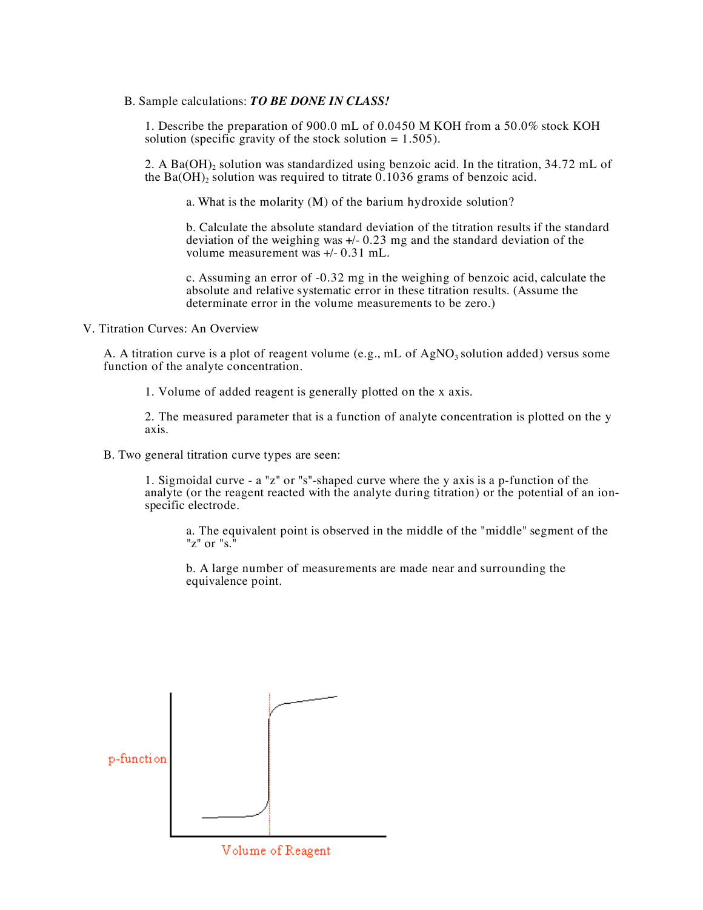B. Sample calculations: *TO BE DONE IN CLASS!*

1. Describe the preparation of 900.0 mL of 0.0450 M KOH from a 50.0% stock KOH solution (specific gravity of the stock solution  $= 1.505$ ).

2. A Ba(OH)<sub>2</sub> solution was standardized using benzoic acid. In the titration,  $34.72$  mL of the Ba(OH)<sub>2</sub> solution was required to titrate 0.1036 grams of benzoic acid.

a. What is the molarity (M) of the barium hydroxide solution?

b. Calculate the absolute standard deviation of the titration results if the standard deviation of the weighing was +/- 0.23 mg and the standard deviation of the volume measurement was +/- 0.31 mL.

c. Assuming an error of -0.32 mg in the weighing of benzoic acid, calculate the absolute and relative systematic error in these titration results. (Assume the determinate error in the volume measurements to be zero.)

V. Titration Curves: An Overview

A. A titration curve is a plot of reagent volume (e.g., mL of  $AgNO<sub>3</sub>$  solution added) versus some function of the analyte concentration.

1. Volume of added reagent is generally plotted on the x axis.

2. The measured parameter that is a function of analyte concentration is plotted on the y axis.

B. Two general titration curve types are seen:

1. Sigmoidal curve - a "z" or "s"-shaped curve where the y axis is a p-function of the analyte (or the reagent reacted with the analyte during titration) or the potential of an ionspecific electrode.

a. The equivalent point is observed in the middle of the "middle" segment of the "z" or "s. $\overline{N}$ 

b. A large number of measurements are made near and surrounding the equivalence point.



Volume of Reagent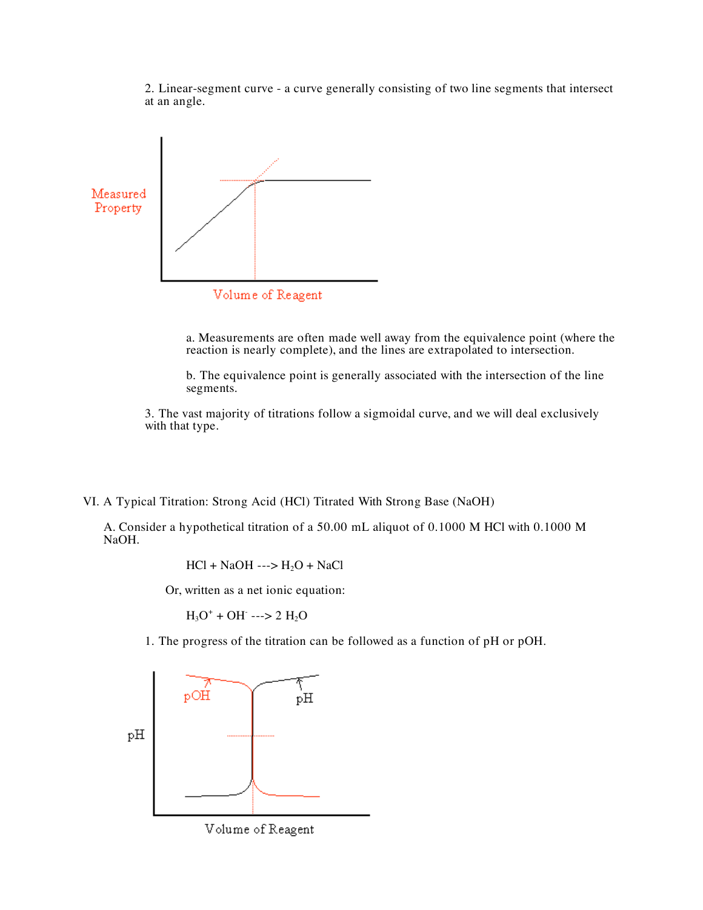2. Linear-segment curve - a curve generally consisting of two line segments that intersect at an angle.



a. Measurements are often made well away from the equivalence point (where the reaction is nearly complete), and the lines are extrapolated to intersection.

b. The equivalence point is generally associated with the intersection of the line segments.

3. The vast majority of titrations follow a sigmoidal curve, and we will deal exclusively with that type.

VI. A Typical Titration: Strong Acid (HCl) Titrated With Strong Base (NaOH)

A. Consider a hypothetical titration of a 50.00 mL aliquot of 0.1000 M HCl with 0.1000 M NaOH.

$$
HCl + NaOH \dashrightarrow H_2O + NaCl
$$

Or, written as a net ionic equation:

 $H_3O^+$  + OH ---> 2 H<sub>2</sub>O

1. The progress of the titration can be followed as a function of pH or pOH.



Volume of Reagent